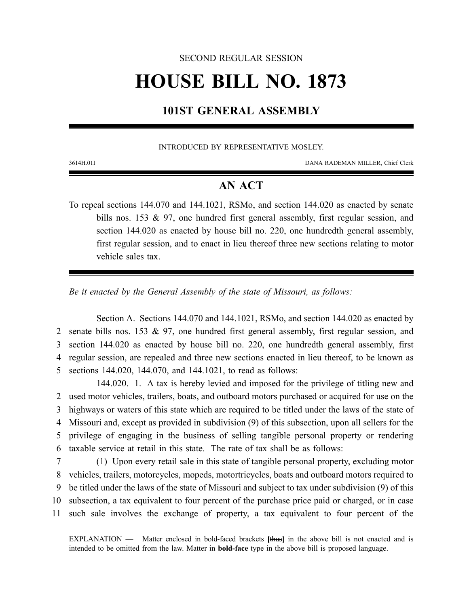#### SECOND REGULAR SESSION

# **HOUSE BILL NO. 1873**

### **101ST GENERAL ASSEMBLY**

#### INTRODUCED BY REPRESENTATIVE MOSLEY.

3614H.01I DANA RADEMAN MILLER, Chief Clerk

## **AN ACT**

To repeal sections 144.070 and 144.1021, RSMo, and section 144.020 as enacted by senate bills nos. 153 & 97, one hundred first general assembly, first regular session, and section 144.020 as enacted by house bill no. 220, one hundredth general assembly, first regular session, and to enact in lieu thereof three new sections relating to motor vehicle sales tax.

*Be it enacted by the General Assembly of the state of Missouri, as follows:*

Section A. Sections 144.070 and 144.1021, RSMo, and section 144.020 as enacted by senate bills nos. 153 & 97, one hundred first general assembly, first regular session, and section 144.020 as enacted by house bill no. 220, one hundredth general assembly, first regular session, are repealed and three new sections enacted in lieu thereof, to be known as sections 144.020, 144.070, and 144.1021, to read as follows:

144.020. 1. A tax is hereby levied and imposed for the privilege of titling new and used motor vehicles, trailers, boats, and outboard motors purchased or acquired for use on the highways or waters of this state which are required to be titled under the laws of the state of Missouri and, except as provided in subdivision (9) of this subsection, upon all sellers for the privilege of engaging in the business of selling tangible personal property or rendering taxable service at retail in this state. The rate of tax shall be as follows:

 (1) Upon every retail sale in this state of tangible personal property, excluding motor vehicles, trailers, motorcycles, mopeds, motortricycles, boats and outboard motors required to be titled under the laws of the state of Missouri and subject to tax under subdivision (9) of this subsection, a tax equivalent to four percent of the purchase price paid or charged, or in case such sale involves the exchange of property, a tax equivalent to four percent of the

EXPLANATION — Matter enclosed in bold-faced brackets **[**thus**]** in the above bill is not enacted and is intended to be omitted from the law. Matter in **bold-face** type in the above bill is proposed language.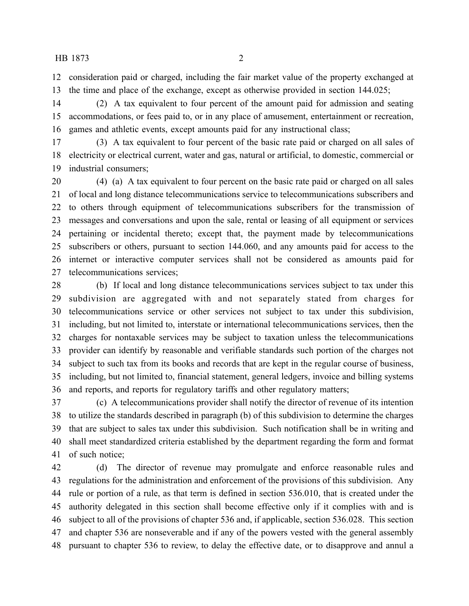consideration paid or charged, including the fair market value of the property exchanged at the time and place of the exchange, except as otherwise provided in section 144.025;

 (2) A tax equivalent to four percent of the amount paid for admission and seating accommodations, or fees paid to, or in any place of amusement, entertainment or recreation, games and athletic events, except amounts paid for any instructional class;

 (3) A tax equivalent to four percent of the basic rate paid or charged on all sales of electricity or electrical current, water and gas, natural or artificial, to domestic, commercial or industrial consumers;

 (4) (a) A tax equivalent to four percent on the basic rate paid or charged on all sales of local and long distance telecommunications service to telecommunications subscribers and to others through equipment of telecommunications subscribers for the transmission of messages and conversations and upon the sale, rental or leasing of all equipment or services pertaining or incidental thereto; except that, the payment made by telecommunications subscribers or others, pursuant to section 144.060, and any amounts paid for access to the internet or interactive computer services shall not be considered as amounts paid for telecommunications services;

 (b) If local and long distance telecommunications services subject to tax under this subdivision are aggregated with and not separately stated from charges for telecommunications service or other services not subject to tax under this subdivision, including, but not limited to, interstate or international telecommunications services, then the charges for nontaxable services may be subject to taxation unless the telecommunications provider can identify by reasonable and verifiable standards such portion of the charges not subject to such tax from its books and records that are kept in the regular course of business, including, but not limited to, financial statement, general ledgers, invoice and billing systems and reports, and reports for regulatory tariffs and other regulatory matters;

 (c) A telecommunications provider shall notify the director of revenue of its intention to utilize the standards described in paragraph (b) of this subdivision to determine the charges that are subject to sales tax under this subdivision. Such notification shall be in writing and shall meet standardized criteria established by the department regarding the form and format of such notice;

 (d) The director of revenue may promulgate and enforce reasonable rules and regulations for the administration and enforcement of the provisions of this subdivision. Any rule or portion of a rule, as that term is defined in section 536.010, that is created under the authority delegated in this section shall become effective only if it complies with and is subject to all of the provisions of chapter 536 and, if applicable, section 536.028. This section and chapter 536 are nonseverable and if any of the powers vested with the general assembly pursuant to chapter 536 to review, to delay the effective date, or to disapprove and annul a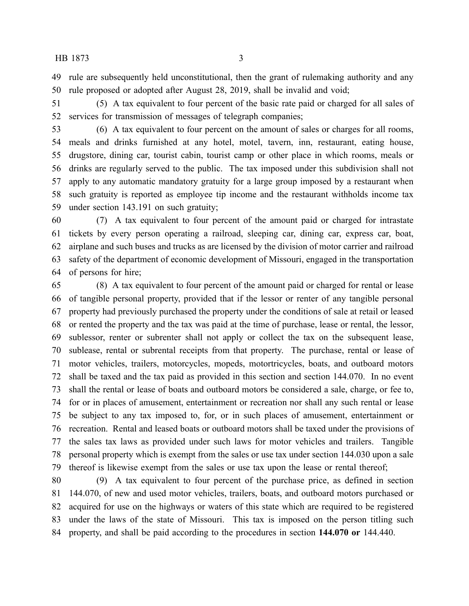rule are subsequently held unconstitutional, then the grant of rulemaking authority and any rule proposed or adopted after August 28, 2019, shall be invalid and void;

 (5) A tax equivalent to four percent of the basic rate paid or charged for all sales of services for transmission of messages of telegraph companies;

 (6) A tax equivalent to four percent on the amount of sales or charges for all rooms, meals and drinks furnished at any hotel, motel, tavern, inn, restaurant, eating house, drugstore, dining car, tourist cabin, tourist camp or other place in which rooms, meals or drinks are regularly served to the public. The tax imposed under this subdivision shall not apply to any automatic mandatory gratuity for a large group imposed by a restaurant when such gratuity is reported as employee tip income and the restaurant withholds income tax under section 143.191 on such gratuity;

 (7) A tax equivalent to four percent of the amount paid or charged for intrastate tickets by every person operating a railroad, sleeping car, dining car, express car, boat, airplane and such buses and trucks as are licensed by the division of motor carrier and railroad safety of the department of economic development of Missouri, engaged in the transportation of persons for hire;

 (8) A tax equivalent to four percent of the amount paid or charged for rental or lease of tangible personal property, provided that if the lessor or renter of any tangible personal property had previously purchased the property under the conditions of sale at retail or leased or rented the property and the tax was paid at the time of purchase, lease or rental, the lessor, sublessor, renter or subrenter shall not apply or collect the tax on the subsequent lease, sublease, rental or subrental receipts from that property. The purchase, rental or lease of motor vehicles, trailers, motorcycles, mopeds, motortricycles, boats, and outboard motors shall be taxed and the tax paid as provided in this section and section 144.070. In no event shall the rental or lease of boats and outboard motors be considered a sale, charge, or fee to, for or in places of amusement, entertainment or recreation nor shall any such rental or lease be subject to any tax imposed to, for, or in such places of amusement, entertainment or recreation. Rental and leased boats or outboard motors shall be taxed under the provisions of the sales tax laws as provided under such laws for motor vehicles and trailers. Tangible personal property which is exempt from the sales or use tax under section 144.030 upon a sale thereof is likewise exempt from the sales or use tax upon the lease or rental thereof;

 (9) A tax equivalent to four percent of the purchase price, as defined in section 144.070, of new and used motor vehicles, trailers, boats, and outboard motors purchased or acquired for use on the highways or waters of this state which are required to be registered under the laws of the state of Missouri. This tax is imposed on the person titling such property, and shall be paid according to the procedures in section **144.070 or** 144.440.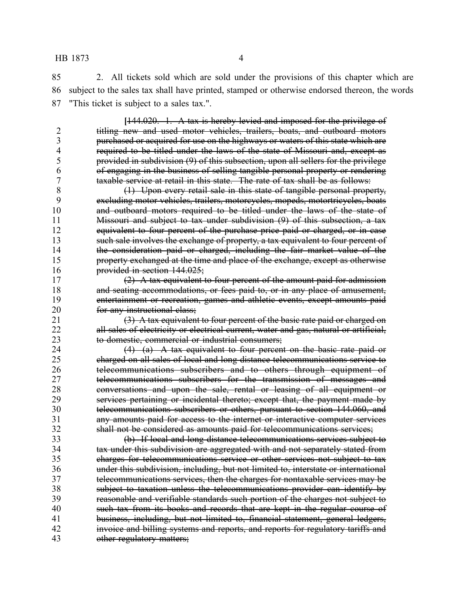2. All tickets sold which are sold under the provisions of this chapter which are subject to the sales tax shall have printed, stamped or otherwise endorsed thereon, the words "This ticket is subject to a sales tax.".

**[**144.020. 1. A tax is hereby levied and imposed for the privilege of 2 titling new and used motor vehicles, trailers, boats, and outboard motors 3 purchased or acquired for use on the highways or waters of this state which are<br>4 **1 provided to be titled under the laws of the state of Missouri and, except as** 4 required to be titled under the laws of the state of Missouri and, except as<br>5 provided in subdivision (9) of this subsection, upon all sellers for the privilege provided in subdivision (9) of this subsection, upon all sellers for the privilege of engaging in the business of selling tangible personal property or rendering taxable service at retail in this state. The rate of tax shall be as follows:

 (1) Upon every retail sale in this state of tangible personal property, excluding motor vehicles, trailers, motorcycles, mopeds, motortricycles, boats and outboard motors required to be titled under the laws of the state of Missouri and subject to tax under subdivision (9) of this subsection, a tax 12 equivalent to four percent of the purchase price paid or charged, or in case such sale involves the exchange of property, a tax equivalent to four percent of the consideration paid or charged, including the fair market value of the **property exchanged at the time and place of the exchange, except as otherwise** provided in section 144.025;

 $(2)$  A tax equivalent to four percent of the amount paid for admission 18 and seating accommodations, or fees paid to, or in any place of amusement, entertainment or recreation, games and athletic events, except amounts paid **for any instructional class;** 

21  $\left(3\right)$  A tax equivalent to four percent of the basic rate paid or charged on 22 all sales of electricity or electrical current, water and gas, natural or artificial, to domestic, commercial or industrial consumers;

24 (4) (a) A tax equivalent to four percent on the basic rate paid or charged on all sales of local and long distance telecommunications service to telecommunications subscribers and to others through equipment of telecommunications subscribers for the transmission of messages and conversations and upon the sale, rental or leasing of all equipment or services pertaining or incidental thereto; except that, the payment made by telecommunications subscribers or others, pursuant to section 144.060, and any amounts paid for access to the internet or interactive computer services shall not be considered as amounts paid for telecommunications services;

 (b) If local and long distance telecommunications services subject to tax under this subdivision are aggregated with and not separately stated from charges for telecommunications service or other services not subject to tax under this subdivision, including, but not limited to, interstate or international telecommunications services, then the charges for nontaxable services may be subject to taxation unless the telecommunications provider can identify by reasonable and verifiable standards such portion of the charges not subject to 40 such tax from its books and records that are kept in the regular course of 41 business, including, but not limited to, financial statement, general ledgers, 42 invoice and billing systems and reports, and reports for regulatory tariffs and 43 other regulatory matters;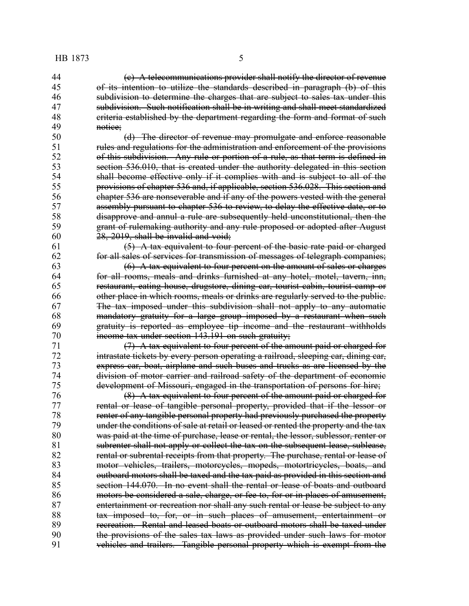(c) A telecommunications provider shall notify the director of revenue of its intention to utilize the standards described in paragraph (b) of this subdivision to determine the charges that are subject to sales tax under this subdivision. Such notification shall be in writing and shall meet standardized 48 criteria established by the department regarding the form and format of such<br>49 contribution of the control of the such as a method of such 49 <del>notice;</del><br>50

(d) The director of revenue may promulgate and enforce reasonable 51 rules and regulations for the administration and enforcement of the provisions<br>52 of this subdivision. Any rule or portion of a rule, as that term is defined in of this subdivision. Any rule or portion of a rule, as that term is defined in section 536.010, that is created under the authority delegated in this section shall become effective only if it complies with and is subject to all of the provisions of chapter 536 and, if applicable, section 536.028. This section and chapter 536 are nonseverable and if any of the powers vested with the general assembly pursuant to chapter 536 to review, to delay the effective date, or to disapprove and annul a rule are subsequently held unconstitutional, then the grant of rulemaking authority and any rule proposed or adopted after August  $60 \qquad 28, 2019,$  shall be invalid and void;

 (5) A tax equivalent to four percent of the basic rate paid or charged for all sales of services for transmission of messages of telegraph companies;

  $(6)$  A tax equivalent to four percent on the amount of sales or charges for all rooms, meals and drinks furnished at any hotel, motel, tavern, inn, restaurant, eating house, drugstore, dining car, tourist cabin, tourist camp or other place in which rooms, meals or drinks are regularly served to the public. The tax imposed under this subdivision shall not apply to any automatic mandatory gratuity for a large group imposed by a restaurant when such gratuity is reported as employee tip income and the restaurant withholds 70 income tax under section 143.191 on such gratuity;

 (7) A tax equivalent to four percent of the amount paid or charged for intrastate tickets by every person operating a railroad, sleeping car, dining car, express car, boat, airplane and such buses and trucks as are licensed by the division of motor carrier and railroad safety of the department of economic development of Missouri, engaged in the transportation of persons for hire;<br>76 (8) A tax equivalent to four percent of the amount paid or charged fo

 (8) A tax equivalent to four percent of the amount paid or charged for 77 rental or lease of tangible personal property, provided that if the lessor or 78 **renter of any tangible personal property had previously purchased the property**<br>79 **hour under the conditions of sale at retail or leased or rented the property and the tax** under the conditions of sale at retail or leased or rented the property and the tax was paid at the time of purchase, lease or rental, the lessor, sublessor, renter or 81 subrenter shall not apply or collect the tax on the subsequent lease, sublease, **rental or subrental receipts from that property. The purchase, rental or lease of**  motor vehicles, trailers, motorcycles, mopeds, motortricycles, boats, and 84 outboard motors shall be taxed and the tax paid as provided in this section and section 144.070. In no event shall the rental or lease of boats and outboard motors be considered a sale, charge, or fee to, for or in places of amusement, entertainment or recreation nor shall any such rental or lease be subject to any 88 tax imposed to, for, or in such places of amusement, entertainment or 89 recreation. Rental and leased boats or outboard motors shall be taxed under<br>90 the provisions of the sales tax laws as provided under such laws for motor the provisions of the sales tax laws as provided under such laws for motor vehicles and trailers. Tangible personal property which is exempt from the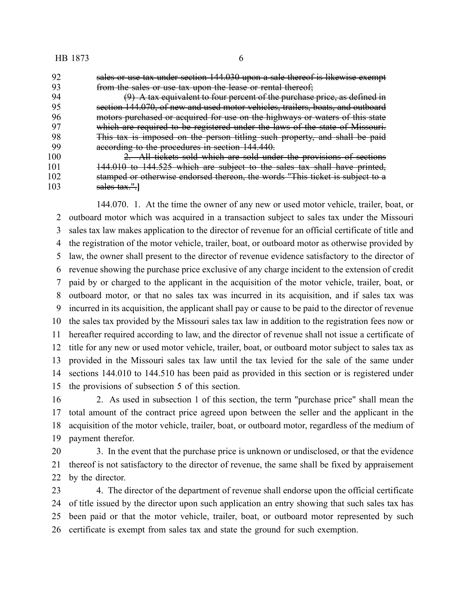sales or use tax under section 144.030 upon a sale thereof is likewise exempt 93 from the sales or use tax upon the lease or rental thereof;<br>94 (9) A tax equivalent to four percent of the purchase

 $(9)$  A tax equivalent to four percent of the purchase price, as defined in section 144.070, of new and used motor vehicles, trailers, boats, and outboard motors purchased or acquired for use on the highways or waters of this state which are required to be registered under the laws of the state of Missouri. This tax is imposed on the person titling such property, and shall be paid 99 according to the procedures in section 144.440.

 2. All tickets sold which are sold under the provisions of sections 101 144.010 to 144.525 which are subject to the sales tax shall have printed,<br>102 stamped or otherwise endorsed thereon, the words "This ticket is subject to a stamped or otherwise endorsed thereon, the words "This ticket is subject to a sales tax.".**]**

144.070. 1. At the time the owner of any new or used motor vehicle, trailer, boat, or outboard motor which was acquired in a transaction subject to sales tax under the Missouri sales tax law makes application to the director of revenue for an official certificate of title and the registration of the motor vehicle, trailer, boat, or outboard motor as otherwise provided by law, the owner shall present to the director of revenue evidence satisfactory to the director of revenue showing the purchase price exclusive of any charge incident to the extension of credit paid by or charged to the applicant in the acquisition of the motor vehicle, trailer, boat, or outboard motor, or that no sales tax was incurred in its acquisition, and if sales tax was incurred in its acquisition, the applicant shall pay or cause to be paid to the director of revenue the sales tax provided by the Missouri sales tax law in addition to the registration fees now or hereafter required according to law, and the director of revenue shall not issue a certificate of title for any new or used motor vehicle, trailer, boat, or outboard motor subject to sales tax as provided in the Missouri sales tax law until the tax levied for the sale of the same under sections 144.010 to 144.510 has been paid as provided in this section or is registered under the provisions of subsection 5 of this section.

 2. As used in subsection 1 of this section, the term "purchase price" shall mean the total amount of the contract price agreed upon between the seller and the applicant in the acquisition of the motor vehicle, trailer, boat, or outboard motor, regardless of the medium of payment therefor.

 3. In the event that the purchase price is unknown or undisclosed, or that the evidence thereof is not satisfactory to the director of revenue, the same shall be fixed by appraisement by the director.

 4. The director of the department of revenue shall endorse upon the official certificate of title issued by the director upon such application an entry showing that such sales tax has been paid or that the motor vehicle, trailer, boat, or outboard motor represented by such certificate is exempt from sales tax and state the ground for such exemption.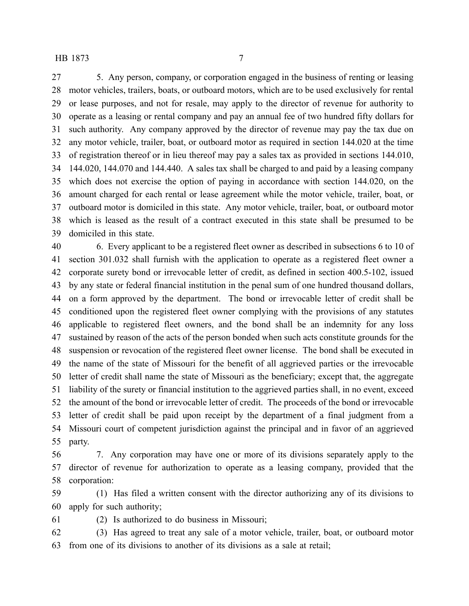5. Any person, company, or corporation engaged in the business of renting or leasing motor vehicles, trailers, boats, or outboard motors, which are to be used exclusively for rental or lease purposes, and not for resale, may apply to the director of revenue for authority to operate as a leasing or rental company and pay an annual fee of two hundred fifty dollars for such authority. Any company approved by the director of revenue may pay the tax due on any motor vehicle, trailer, boat, or outboard motor as required in section 144.020 at the time of registration thereof or in lieu thereof may pay a sales tax as provided in sections 144.010, 144.020, 144.070 and 144.440. A sales tax shall be charged to and paid by a leasing company which does not exercise the option of paying in accordance with section 144.020, on the amount charged for each rental or lease agreement while the motor vehicle, trailer, boat, or outboard motor is domiciled in this state. Any motor vehicle, trailer, boat, or outboard motor which is leased as the result of a contract executed in this state shall be presumed to be domiciled in this state.

 6. Every applicant to be a registered fleet owner as described in subsections 6 to 10 of section 301.032 shall furnish with the application to operate as a registered fleet owner a corporate surety bond or irrevocable letter of credit, as defined in section 400.5-102, issued by any state or federal financial institution in the penal sum of one hundred thousand dollars, on a form approved by the department. The bond or irrevocable letter of credit shall be conditioned upon the registered fleet owner complying with the provisions of any statutes applicable to registered fleet owners, and the bond shall be an indemnity for any loss sustained by reason of the acts of the person bonded when such acts constitute grounds for the suspension or revocation of the registered fleet owner license. The bond shall be executed in the name of the state of Missouri for the benefit of all aggrieved parties or the irrevocable letter of credit shall name the state of Missouri as the beneficiary; except that, the aggregate liability of the surety or financial institution to the aggrieved parties shall, in no event, exceed the amount of the bond or irrevocable letter of credit. The proceeds of the bond or irrevocable letter of credit shall be paid upon receipt by the department of a final judgment from a Missouri court of competent jurisdiction against the principal and in favor of an aggrieved party.

 7. Any corporation may have one or more of its divisions separately apply to the director of revenue for authorization to operate as a leasing company, provided that the corporation:

 (1) Has filed a written consent with the director authorizing any of its divisions to apply for such authority;

(2) Is authorized to do business in Missouri;

 (3) Has agreed to treat any sale of a motor vehicle, trailer, boat, or outboard motor from one of its divisions to another of its divisions as a sale at retail;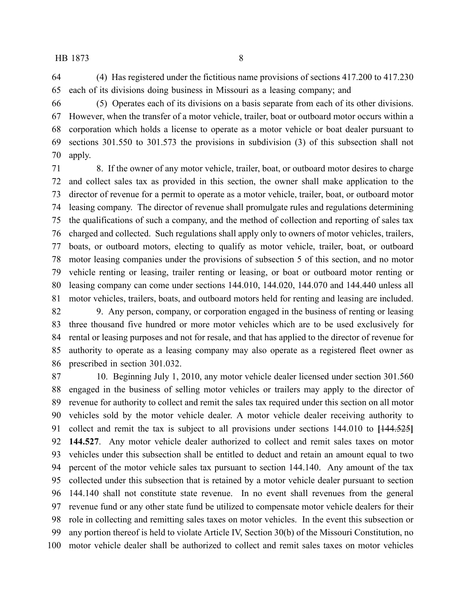(4) Has registered under the fictitious name provisions of sections 417.200 to 417.230 each of its divisions doing business in Missouri as a leasing company; and

 (5) Operates each of its divisions on a basis separate from each of its other divisions. However, when the transfer of a motor vehicle, trailer, boat or outboard motor occurs within a corporation which holds a license to operate as a motor vehicle or boat dealer pursuant to sections 301.550 to 301.573 the provisions in subdivision (3) of this subsection shall not apply.

 8. If the owner of any motor vehicle, trailer, boat, or outboard motor desires to charge and collect sales tax as provided in this section, the owner shall make application to the director of revenue for a permit to operate as a motor vehicle, trailer, boat, or outboard motor leasing company. The director of revenue shall promulgate rules and regulations determining the qualifications of such a company, and the method of collection and reporting of sales tax charged and collected. Such regulations shall apply only to owners of motor vehicles, trailers, boats, or outboard motors, electing to qualify as motor vehicle, trailer, boat, or outboard motor leasing companies under the provisions of subsection 5 of this section, and no motor vehicle renting or leasing, trailer renting or leasing, or boat or outboard motor renting or leasing company can come under sections 144.010, 144.020, 144.070 and 144.440 unless all motor vehicles, trailers, boats, and outboard motors held for renting and leasing are included.

 9. Any person, company, or corporation engaged in the business of renting or leasing three thousand five hundred or more motor vehicles which are to be used exclusively for rental or leasing purposes and not for resale, and that has applied to the director of revenue for authority to operate as a leasing company may also operate as a registered fleet owner as prescribed in section 301.032.

 10. Beginning July 1, 2010, any motor vehicle dealer licensed under section 301.560 engaged in the business of selling motor vehicles or trailers may apply to the director of revenue for authority to collect and remit the sales tax required under this section on all motor vehicles sold by the motor vehicle dealer. A motor vehicle dealer receiving authority to collect and remit the tax is subject to all provisions under sections 144.010 to **[**144.525**] 144.527**. Any motor vehicle dealer authorized to collect and remit sales taxes on motor vehicles under this subsection shall be entitled to deduct and retain an amount equal to two percent of the motor vehicle sales tax pursuant to section 144.140. Any amount of the tax collected under this subsection that is retained by a motor vehicle dealer pursuant to section 144.140 shall not constitute state revenue. In no event shall revenues from the general revenue fund or any other state fund be utilized to compensate motor vehicle dealers for their role in collecting and remitting sales taxes on motor vehicles. In the event this subsection or any portion thereof is held to violate Article IV, Section 30(b) of the Missouri Constitution, no motor vehicle dealer shall be authorized to collect and remit sales taxes on motor vehicles